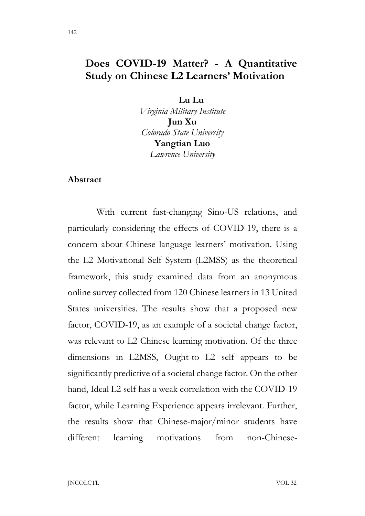# Does COVID-19 Matter? - A Quantitative Study on Chinese L2 Learners' Motivation

Lu Lu

Virginia Military Institute Jun Xu Colorado State University Yangtian Luo Lawrence University

#### Abstract

 With current fast-changing Sino-US relations, and particularly considering the effects of COVID-19, there is a concern about Chinese language learners' motivation. Using the L2 Motivational Self System (L2MSS) as the theoretical framework, this study examined data from an anonymous online survey collected from 120 Chinese learners in 13 United States universities. The results show that a proposed new factor, COVID-19, as an example of a societal change factor, was relevant to L2 Chinese learning motivation. Of the three dimensions in L2MSS, Ought-to L2 self appears to be significantly predictive of a societal change factor. On the other hand, Ideal L2 self has a weak correlation with the COVID-19 factor, while Learning Experience appears irrelevant. Further, the results show that Chinese-major/minor students have different learning motivations from non-Chinese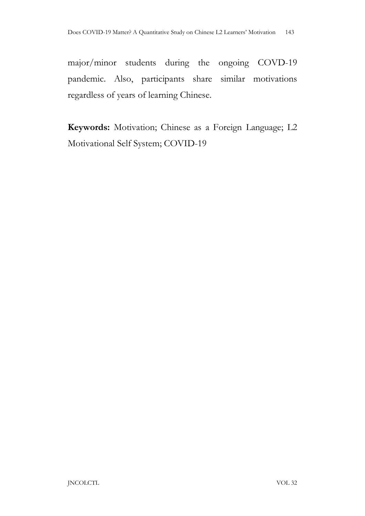major/minor students during the ongoing COVD-19 pandemic. Also, participants share similar motivations regardless of years of learning Chinese.

Keywords: Motivation; Chinese as a Foreign Language; L2 Motivational Self System; COVID-19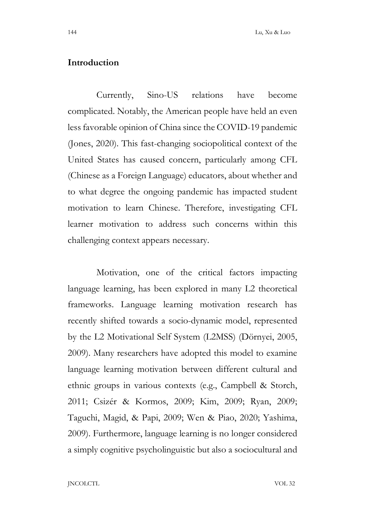#### Introduction

 Currently, Sino-US relations have become complicated. Notably, the American people have held an even less favorable opinion of China since the COVID-19 pandemic (Jones, 2020). This fast-changing sociopolitical context of the United States has caused concern, particularly among CFL (Chinese as a Foreign Language) educators, about whether and to what degree the ongoing pandemic has impacted student motivation to learn Chinese. Therefore, investigating CFL learner motivation to address such concerns within this challenging context appears necessary.

 Motivation, one of the critical factors impacting language learning, has been explored in many L2 theoretical frameworks. Language learning motivation research has recently shifted towards a socio-dynamic model, represented by the L2 Motivational Self System (L2MSS) (Dörnyei, 2005, 2009). Many researchers have adopted this model to examine language learning motivation between different cultural and ethnic groups in various contexts (e.g., Campbell & Storch, 2011; Csizér & Kormos, 2009; Kim, 2009; Ryan, 2009; Taguchi, Magid, & Papi, 2009; Wen & Piao, 2020; Yashima, 2009). Furthermore, language learning is no longer considered a simply cognitive psycholinguistic but also a sociocultural and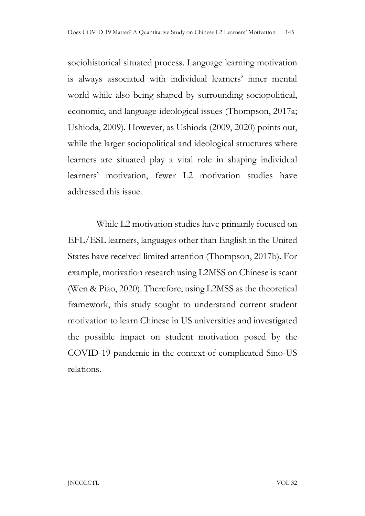sociohistorical situated process. Language learning motivation is always associated with individual learners' inner mental world while also being shaped by surrounding sociopolitical, economic, and language-ideological issues (Thompson, 2017a; Ushioda, 2009). However, as Ushioda (2009, 2020) points out, while the larger sociopolitical and ideological structures where learners are situated play a vital role in shaping individual learners' motivation, fewer L2 motivation studies have addressed this issue.

 While L2 motivation studies have primarily focused on EFL/ESL learners, languages other than English in the United States have received limited attention (Thompson, 2017b). For example, motivation research using L2MSS on Chinese is scant (Wen & Piao, 2020). Therefore, using L2MSS as the theoretical framework, this study sought to understand current student motivation to learn Chinese in US universities and investigated the possible impact on student motivation posed by the COVID-19 pandemic in the context of complicated Sino-US relations.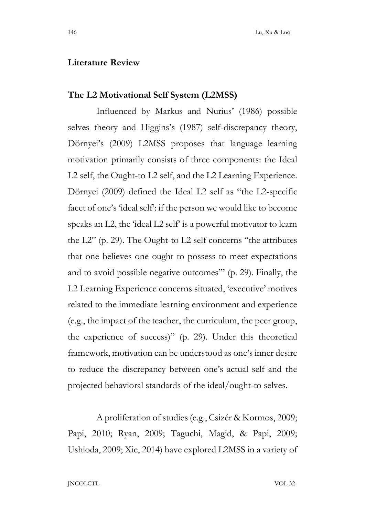#### Literature Review

#### The L2 Motivational Self System (L2MSS)

Influenced by Markus and Nurius' (1986) possible selves theory and Higgins's (1987) self-discrepancy theory, Dörnyei's (2009) L2MSS proposes that language learning motivation primarily consists of three components: the Ideal L2 self, the Ought-to L2 self, and the L2 Learning Experience. Dörnyei (2009) defined the Ideal L2 self as "the L2-specific facet of one's 'ideal self': if the person we would like to become speaks an L2, the 'ideal L2 self' is a powerful motivator to learn the L2" (p. 29). The Ought-to L2 self concerns "the attributes that one believes one ought to possess to meet expectations and to avoid possible negative outcomes'" (p. 29). Finally, the L2 Learning Experience concerns situated, 'executive' motives related to the immediate learning environment and experience (e.g., the impact of the teacher, the curriculum, the peer group, the experience of success)" (p. 29). Under this theoretical framework, motivation can be understood as one's inner desire to reduce the discrepancy between one's actual self and the projected behavioral standards of the ideal/ought-to selves.

A proliferation of studies (e.g., Csizér & Kormos, 2009; Papi, 2010; Ryan, 2009; Taguchi, Magid, & Papi, 2009; Ushioda, 2009; Xie, 2014) have explored L2MSS in a variety of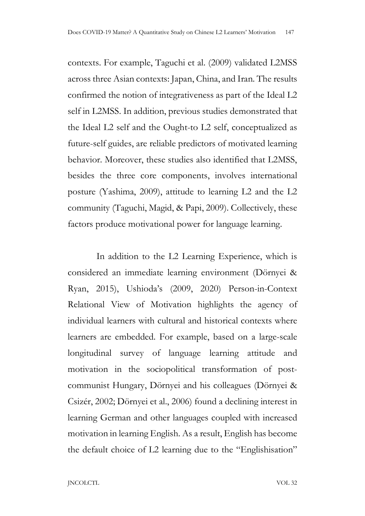contexts. For example, Taguchi et al. (2009) validated L2MSS across three Asian contexts: Japan, China, and Iran. The results confirmed the notion of integrativeness as part of the Ideal L2 self in L2MSS. In addition, previous studies demonstrated that the Ideal L2 self and the Ought-to L2 self, conceptualized as future-self guides, are reliable predictors of motivated learning behavior. Moreover, these studies also identified that L2MSS, besides the three core components, involves international posture (Yashima, 2009), attitude to learning L2 and the L2 community (Taguchi, Magid, & Papi, 2009). Collectively, these factors produce motivational power for language learning.

 In addition to the L2 Learning Experience, which is considered an immediate learning environment (Dörnyei & Ryan, 2015), Ushioda's (2009, 2020) Person-in-Context Relational View of Motivation highlights the agency of individual learners with cultural and historical contexts where learners are embedded. For example, based on a large-scale longitudinal survey of language learning attitude and motivation in the sociopolitical transformation of postcommunist Hungary, Dörnyei and his colleagues (Dörnyei & Csizér, 2002; Dörnyei et al., 2006) found a declining interest in learning German and other languages coupled with increased motivation in learning English. As a result, English has become the default choice of L2 learning due to the "Englishisation"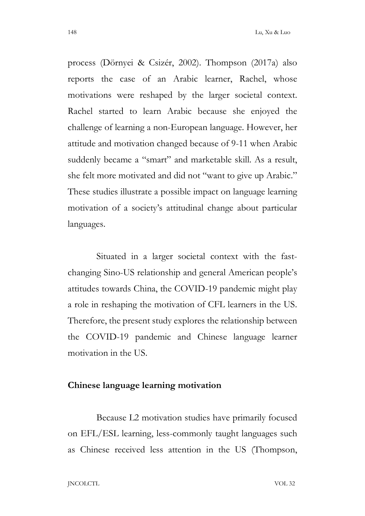process (Dörnyei & Csizér, 2002). Thompson (2017a) also reports the case of an Arabic learner, Rachel, whose motivations were reshaped by the larger societal context. Rachel started to learn Arabic because she enjoyed the challenge of learning a non-European language. However, her attitude and motivation changed because of 9-11 when Arabic suddenly became a "smart" and marketable skill. As a result, she felt more motivated and did not "want to give up Arabic." These studies illustrate a possible impact on language learning motivation of a society's attitudinal change about particular languages.

 Situated in a larger societal context with the fastchanging Sino-US relationship and general American people's attitudes towards China, the COVID-19 pandemic might play a role in reshaping the motivation of CFL learners in the US. Therefore, the present study explores the relationship between the COVID-19 pandemic and Chinese language learner motivation in the US.

#### Chinese language learning motivation

 Because L2 motivation studies have primarily focused on EFL/ESL learning, less-commonly taught languages such as Chinese received less attention in the US (Thompson,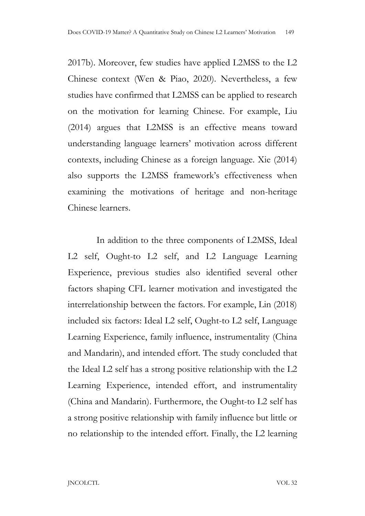2017b). Moreover, few studies have applied L2MSS to the L2 Chinese context (Wen & Piao, 2020). Nevertheless, a few studies have confirmed that L2MSS can be applied to research on the motivation for learning Chinese. For example, Liu (2014) argues that L2MSS is an effective means toward understanding language learners' motivation across different contexts, including Chinese as a foreign language. Xie (2014) also supports the L2MSS framework's effectiveness when examining the motivations of heritage and non-heritage Chinese learners.

 In addition to the three components of L2MSS, Ideal L2 self, Ought-to L2 self, and L2 Language Learning Experience, previous studies also identified several other factors shaping CFL learner motivation and investigated the interrelationship between the factors. For example, Lin (2018) included six factors: Ideal L2 self, Ought-to L2 self, Language Learning Experience, family influence, instrumentality (China and Mandarin), and intended effort. The study concluded that the Ideal L2 self has a strong positive relationship with the L2 Learning Experience, intended effort, and instrumentality (China and Mandarin). Furthermore, the Ought-to L2 self has a strong positive relationship with family influence but little or no relationship to the intended effort. Finally, the L2 learning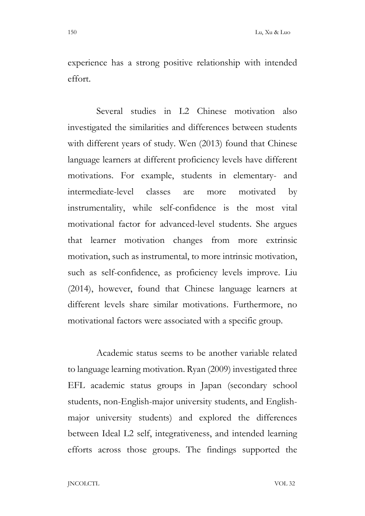experience has a strong positive relationship with intended effort.

 Several studies in L2 Chinese motivation also investigated the similarities and differences between students with different years of study. Wen (2013) found that Chinese language learners at different proficiency levels have different motivations. For example, students in elementary- and intermediate-level classes are more motivated by instrumentality, while self-confidence is the most vital motivational factor for advanced-level students. She argues that learner motivation changes from more extrinsic motivation, such as instrumental, to more intrinsic motivation, such as self-confidence, as proficiency levels improve. Liu (2014), however, found that Chinese language learners at different levels share similar motivations. Furthermore, no motivational factors were associated with a specific group.

 Academic status seems to be another variable related to language learning motivation. Ryan (2009) investigated three EFL academic status groups in Japan (secondary school students, non-English-major university students, and Englishmajor university students) and explored the differences between Ideal L2 self, integrativeness, and intended learning efforts across those groups. The findings supported the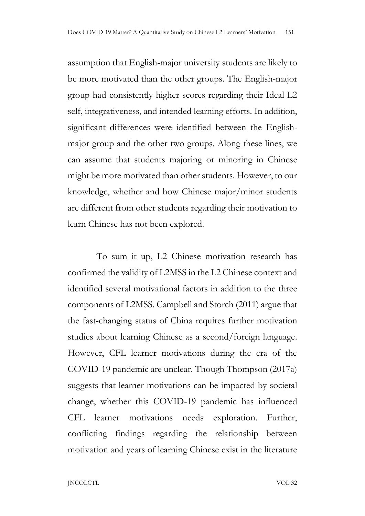assumption that English-major university students are likely to be more motivated than the other groups. The English-major group had consistently higher scores regarding their Ideal L2 self, integrativeness, and intended learning efforts. In addition, significant differences were identified between the Englishmajor group and the other two groups. Along these lines, we can assume that students majoring or minoring in Chinese might be more motivated than other students. However, to our knowledge, whether and how Chinese major/minor students are different from other students regarding their motivation to learn Chinese has not been explored.

 To sum it up, L2 Chinese motivation research has confirmed the validity of L2MSS in the L2 Chinese context and identified several motivational factors in addition to the three components of L2MSS. Campbell and Storch (2011) argue that the fast-changing status of China requires further motivation studies about learning Chinese as a second/foreign language. However, CFL learner motivations during the era of the COVID-19 pandemic are unclear. Though Thompson (2017a) suggests that learner motivations can be impacted by societal change, whether this COVID-19 pandemic has influenced CFL learner motivations needs exploration. Further, conflicting findings regarding the relationship between motivation and years of learning Chinese exist in the literature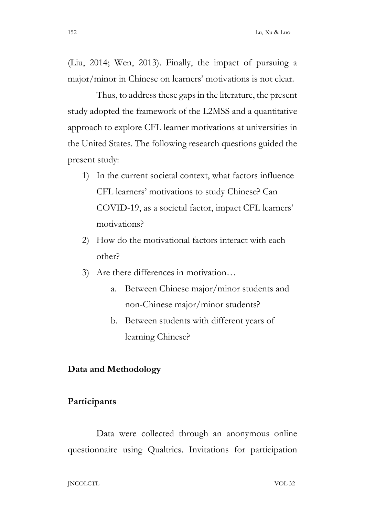(Liu, 2014; Wen, 2013). Finally, the impact of pursuing a major/minor in Chinese on learners' motivations is not clear.

 Thus, to address these gaps in the literature, the present study adopted the framework of the L2MSS and a quantitative approach to explore CFL learner motivations at universities in the United States. The following research questions guided the present study:

- 1) In the current societal context, what factors influence CFL learners' motivations to study Chinese? Can COVID-19, as a societal factor, impact CFL learners' motivations?
- 2) How do the motivational factors interact with each other?
- 3) Are there differences in motivation…
	- a. Between Chinese major/minor students and non-Chinese major/minor students?
	- b. Between students with different years of learning Chinese?

#### Data and Methodology

#### Participants

 Data were collected through an anonymous online questionnaire using Qualtrics. Invitations for participation

JNCOLCTL VOL 32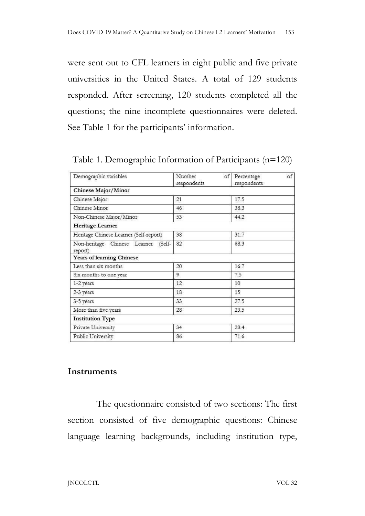were sent out to CFL learners in eight public and five private universities in the United States. A total of 129 students responded. After screening, 120 students completed all the questions; the nine incomplete questionnaires were deleted. See Table 1 for the participants' information.

| Demographic variables                          | Number<br>of<br>respondents | of<br>Percentage<br>respondents |
|------------------------------------------------|-----------------------------|---------------------------------|
| Chinese Major/Minor                            |                             |                                 |
| Chinese Major                                  | 21                          | 17.5                            |
| Chinese Minor                                  | 46                          | 38.3                            |
| Non-Chinese Major/Minor                        | 53                          | 44.2                            |
| Heritage Learner                               |                             |                                 |
| Heritage Chinese Learner (Self-report)         | 38                          | 31.7                            |
| Non-heritage Chinese Learner (Self-<br>report) | 82                          | 68.3                            |
| Years of learning Chinese                      |                             |                                 |
| Less than six months                           | 20                          | 16.7                            |
| Six months to one year                         | 9                           | 7.5                             |
| 1-2 years                                      | 12                          | 10                              |
| 2-3 years                                      | 18                          | 15                              |
| 3-5 years                                      | 33                          | 27.5                            |
| More than five years                           | 28                          | 23.5                            |
| <b>Institution Type</b>                        |                             |                                 |
| Private University                             | 34                          | 28.4                            |
| Public University                              | 86                          | 71.6                            |

Table 1. Demographic Information of Participants (n=120)

### **Instruments**

 The questionnaire consisted of two sections: The first section consisted of five demographic questions: Chinese language learning backgrounds, including institution type,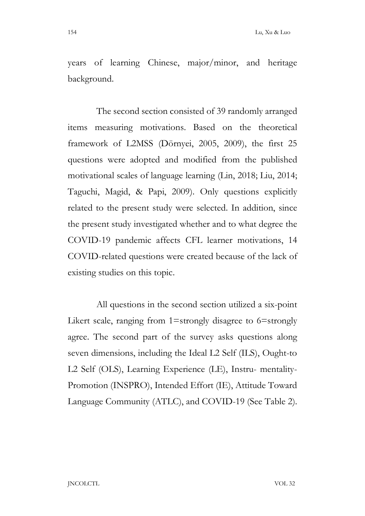years of learning Chinese, major/minor, and heritage background.

 The second section consisted of 39 randomly arranged items measuring motivations. Based on the theoretical framework of L2MSS (Dörnyei, 2005, 2009), the first 25 questions were adopted and modified from the published motivational scales of language learning (Lin, 2018; Liu, 2014; Taguchi, Magid, & Papi, 2009). Only questions explicitly related to the present study were selected. In addition, since the present study investigated whether and to what degree the COVID-19 pandemic affects CFL learner motivations, 14 COVID-related questions were created because of the lack of existing studies on this topic.

 All questions in the second section utilized a six-point Likert scale, ranging from 1=strongly disagree to 6=strongly agree. The second part of the survey asks questions along seven dimensions, including the Ideal L2 Self (ILS), Ought-to L2 Self (OLS), Learning Experience (LE), Instru- mentality-Promotion (INSPRO), Intended Effort (IE), Attitude Toward Language Community (ATLC), and COVID-19 (See Table 2).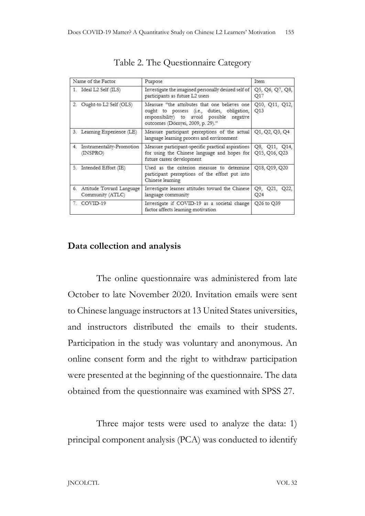|    | Name of the Factor                           | Purpose                                                                                                                                                                         | Item                           |  |  |
|----|----------------------------------------------|---------------------------------------------------------------------------------------------------------------------------------------------------------------------------------|--------------------------------|--|--|
|    | 1. Ideal L2 Self (ILS)                       | Investigate the imagined personally desired self of<br>participants as future L2 users                                                                                          | Q5, Q6, Q7, Q8,<br>Q17         |  |  |
| 2. | Ought-to L2 Self (OLS)                       | Measure "the attributes that one believes one<br>ought to possess (i.e., duties, obligation,<br>responsibility) to avoid possible negative<br>outcomes (Dörnyei, 2009, p. 29)." | Q10, Q11, Q12,<br>Q13          |  |  |
|    | 3. Learning Experience (LE)                  | Measure participant perceptions of the actual<br>language learning process and environment                                                                                      | Q1, Q2, Q3, Q4                 |  |  |
| 4. | Instrumentality-Promotion<br>(INSPRO)        | Measure participant-specific practical aspirations<br>for using the Chinese language and hopes for<br>future career development                                                 | Q8, Q11, Q14,<br>Q15, Q16, Q23 |  |  |
|    | 5. Intended Effort (IE)                      | Used as the criterion measure to determine<br>participant perceptions of the effort put into<br>Chinese learning                                                                | Q18, Q19, Q20                  |  |  |
| 6. | Attitude Toward Language<br>Community (ATLC) | Investigate learner attitudes toward the Chinese<br>language community                                                                                                          | Q9, Q21, Q22,<br>Q24           |  |  |
|    | 7. COVID-19                                  | Investigate if COVID-19 as a societal change<br>factor affects learning motivation                                                                                              | Q26 to Q39                     |  |  |

#### Table 2. The Questionnaire Category

#### Data collection and analysis

 The online questionnaire was administered from late October to late November 2020. Invitation emails were sent to Chinese language instructors at 13 United States universities, and instructors distributed the emails to their students. Participation in the study was voluntary and anonymous. An online consent form and the right to withdraw participation were presented at the beginning of the questionnaire. The data obtained from the questionnaire was examined with SPSS 27.

 Three major tests were used to analyze the data: 1) principal component analysis (PCA) was conducted to identify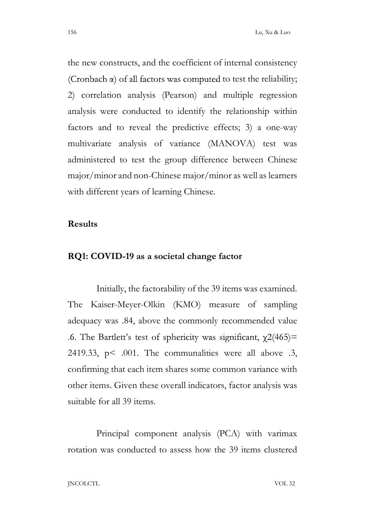the new constructs, and the coefficient of internal consistency (Cronbach  $\alpha$ ) of all factors was computed to test the reliability; 2) correlation analysis (Pearson) and multiple regression analysis were conducted to identify the relationship within factors and to reveal the predictive effects; 3) a one-way multivariate analysis of variance (MANOVA) test was administered to test the group difference between Chinese major/minor and non-Chinese major/minor as well as learners with different years of learning Chinese.

#### Results

#### RQ1: COVID-19 as a societal change factor

 Initially, the factorability of the 39 items was examined. The Kaiser-Meyer-Olkin (KMO) measure of sampling adequacy was .84, above the commonly recommended value .6. The Bartlett's test of sphericity was significant,  $\chi^2(465)$ = 2419.33,  $p<$  .001. The communalities were all above .3, confirming that each item shares some common variance with other items. Given these overall indicators, factor analysis was suitable for all 39 items.

 Principal component analysis (PCA) with varimax rotation was conducted to assess how the 39 items clustered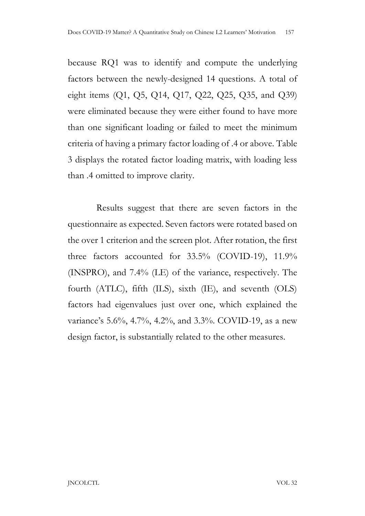because RQ1 was to identify and compute the underlying factors between the newly-designed 14 questions. A total of eight items (Q1, Q5, Q14, Q17, Q22, Q25, Q35, and Q39) were eliminated because they were either found to have more than one significant loading or failed to meet the minimum criteria of having a primary factor loading of .4 or above. Table 3 displays the rotated factor loading matrix, with loading less than .4 omitted to improve clarity.

 Results suggest that there are seven factors in the questionnaire as expected. Seven factors were rotated based on the over 1 criterion and the screen plot. After rotation, the first three factors accounted for 33.5% (COVID-19), 11.9% (INSPRO), and 7.4% (LE) of the variance, respectively. The fourth (ATLC), fifth (ILS), sixth (IE), and seventh (OLS) factors had eigenvalues just over one, which explained the variance's 5.6%, 4.7%, 4.2%, and 3.3%. COVID-19, as a new design factor, is substantially related to the other measures.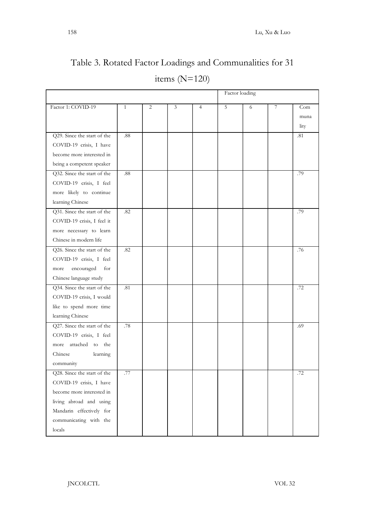| Table 3. Rotated Factor Loadings and Communalities for 31 |  |  |
|-----------------------------------------------------------|--|--|
|                                                           |  |  |

|                             |         |                |                |                | Factor loading  |   |                 |      |
|-----------------------------|---------|----------------|----------------|----------------|-----------------|---|-----------------|------|
| Factor 1: COVID-19          | 1       | $\overline{c}$ | $\mathfrak{Z}$ | $\overline{4}$ | $5\phantom{.0}$ | 6 | $7\phantom{.0}$ | Com  |
|                             |         |                |                |                |                 |   |                 | muna |
|                             |         |                |                |                |                 |   |                 | lity |
| Q29. Since the start of the | $.88\,$ |                |                |                |                 |   |                 | .81  |
| COVID-19 crisis, I have     |         |                |                |                |                 |   |                 |      |
| become more interested in   |         |                |                |                |                 |   |                 |      |
| being a competent speaker   |         |                |                |                |                 |   |                 |      |
| Q32. Since the start of the | $.88\,$ |                |                |                |                 |   |                 | .79  |
| COVID-19 crisis, I feel     |         |                |                |                |                 |   |                 |      |
| more likely to continue     |         |                |                |                |                 |   |                 |      |
| learning Chinese            |         |                |                |                |                 |   |                 |      |
| Q31. Since the start of the | .82     |                |                |                |                 |   |                 | .79  |
| COVID-19 crisis, I feel it  |         |                |                |                |                 |   |                 |      |
| more necessary to learn     |         |                |                |                |                 |   |                 |      |
| Chinese in modern life      |         |                |                |                |                 |   |                 |      |
| Q26. Since the start of the | .82     |                |                |                |                 |   |                 | .76  |
| COVID-19 crisis, I feel     |         |                |                |                |                 |   |                 |      |
| encouraged for<br>more      |         |                |                |                |                 |   |                 |      |
| Chinese language study      |         |                |                |                |                 |   |                 |      |
| Q34. Since the start of the | .81     |                |                |                |                 |   |                 | .72  |
| COVID-19 crisis, I would    |         |                |                |                |                 |   |                 |      |
| like to spend more time     |         |                |                |                |                 |   |                 |      |
| learning Chinese            |         |                |                |                |                 |   |                 |      |
| Q27. Since the start of the | .78     |                |                |                |                 |   |                 | .69  |
| COVID-19 crisis, I feel     |         |                |                |                |                 |   |                 |      |
| more attached to the        |         |                |                |                |                 |   |                 |      |
| Chinese<br>learning         |         |                |                |                |                 |   |                 |      |
| community                   |         |                |                |                |                 |   |                 |      |
| Q28. Since the start of the | .77     |                |                |                |                 |   |                 | .72  |
| COVID-19 crisis, I have     |         |                |                |                |                 |   |                 |      |
| become more interested in   |         |                |                |                |                 |   |                 |      |
| living abroad and using     |         |                |                |                |                 |   |                 |      |
| Mandarin effectively for    |         |                |                |                |                 |   |                 |      |
| communicating with the      |         |                |                |                |                 |   |                 |      |

# items (N=120)

locals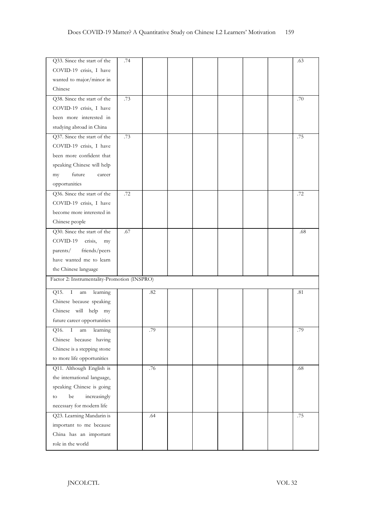| Q33. Since the start of the                  | .74 |     |  |  | .63 |
|----------------------------------------------|-----|-----|--|--|-----|
| COVID-19 crisis, I have                      |     |     |  |  |     |
| wanted to major/minor in                     |     |     |  |  |     |
| Chinese                                      |     |     |  |  |     |
| Q38. Since the start of the                  | .73 |     |  |  | .70 |
| COVID-19 crisis, I have                      |     |     |  |  |     |
| been more interested in                      |     |     |  |  |     |
| studying abroad in China                     |     |     |  |  |     |
| Q37. Since the start of the                  | .73 |     |  |  | .75 |
| COVID-19 crisis, I have                      |     |     |  |  |     |
| been more confident that                     |     |     |  |  |     |
| speaking Chinese will help                   |     |     |  |  |     |
| future<br>my<br>career                       |     |     |  |  |     |
| opportunities                                |     |     |  |  |     |
| Q36. Since the start of the                  | .72 |     |  |  | .72 |
| COVID-19 crisis, I have                      |     |     |  |  |     |
| become more interested in                    |     |     |  |  |     |
| Chinese people                               |     |     |  |  |     |
| Q30. Since the start of the                  | .67 |     |  |  | .68 |
| COVID-19<br>crisis,<br>my                    |     |     |  |  |     |
| parents/<br>friends/peers                    |     |     |  |  |     |
| have wanted me to learn                      |     |     |  |  |     |
| the Chinese language                         |     |     |  |  |     |
| Factor 2: Instrumentality-Promotion (INSPRO) |     |     |  |  |     |
| $Q15. \quad I$<br>learning<br>am             |     | .82 |  |  | .81 |
| Chinese because speaking                     |     |     |  |  |     |
| Chinese will help my                         |     |     |  |  |     |
| future career opportunities                  |     |     |  |  |     |
| Q16. I am learning                           |     | .79 |  |  | .79 |
| Chinese because having                       |     |     |  |  |     |
| Chinese is a stepping stone                  |     |     |  |  |     |
| to more life opportunities                   |     |     |  |  |     |
| Q11. Although English is                     |     | .76 |  |  | .68 |
| the international language,                  |     |     |  |  |     |
| speaking Chinese is going                    |     |     |  |  |     |
| increasingly<br>be<br>to                     |     |     |  |  |     |
| necessary for modern life                    |     |     |  |  |     |
| Q23. Learning Mandarin is                    |     | .64 |  |  | .75 |
| important to me because                      |     |     |  |  |     |
| China has an important                       |     |     |  |  |     |
| role in the world                            |     |     |  |  |     |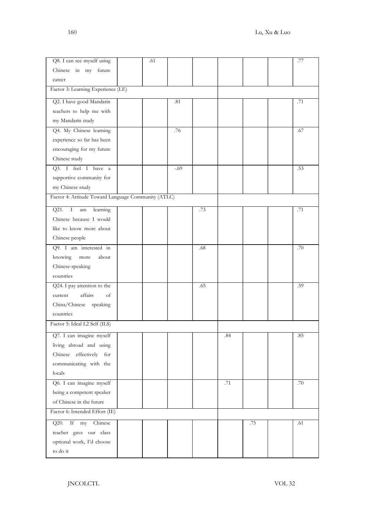| Q8. I can see myself using                          | .61 |        |     |     |     | .77     |
|-----------------------------------------------------|-----|--------|-----|-----|-----|---------|
| Chinese in my future                                |     |        |     |     |     |         |
| career                                              |     |        |     |     |     |         |
| Factor 3: Learning Experience (LE)                  |     |        |     |     |     |         |
| Q2. I have good Mandarin                            |     | .81    |     |     |     | .71     |
| teachers to help me with                            |     |        |     |     |     |         |
| my Mandarin study                                   |     |        |     |     |     |         |
| Q4. My Chinese learning                             |     | .76    |     |     |     | .67     |
| experience so far has been                          |     |        |     |     |     |         |
| encouraging for my future                           |     |        |     |     |     |         |
| Chinese study                                       |     |        |     |     |     |         |
| Q3. I feel I have a                                 |     | $-.69$ |     |     |     | .53     |
| supportive community for                            |     |        |     |     |     |         |
| my Chinese study                                    |     |        |     |     |     |         |
| Factor 4: Attitude Toward Language Community (ATLC) |     |        |     |     |     |         |
| Q21. I<br>learning<br>am                            |     |        | .73 |     |     | .71     |
| Chinese because I would                             |     |        |     |     |     |         |
| like to know more about                             |     |        |     |     |     |         |
| Chinese people                                      |     |        |     |     |     |         |
| Q9. I am interested in                              |     |        | .68 |     |     | .70     |
| knowing<br>more<br>about                            |     |        |     |     |     |         |
| Chinese-speaking                                    |     |        |     |     |     |         |
| countries                                           |     |        |     |     |     |         |
| Q24. I pay attention to the                         |     |        | .65 |     |     | .59     |
| affairs<br>of<br>current                            |     |        |     |     |     |         |
| China/Chinese speaking                              |     |        |     |     |     |         |
| countries                                           |     |        |     |     |     |         |
| Factor 5: Ideal L2 Self (ILS)                       |     |        |     |     |     |         |
| Q7. I can imagine myself                            |     |        |     | .84 |     | .85     |
| living abroad and using                             |     |        |     |     |     |         |
| Chinese effectively for                             |     |        |     |     |     |         |
| communicating with the                              |     |        |     |     |     |         |
| locals                                              |     |        |     |     |     |         |
| Q6. I can imagine myself                            |     |        |     | .71 |     | $.70\,$ |
| being a competent speaker                           |     |        |     |     |     |         |
| of Chinese in the future                            |     |        |     |     |     |         |
| Factor 6: Intended Effort (IE)                      |     |        |     |     |     |         |
| Q20. If $my$<br>Chinese                             |     |        |     |     | .75 | .61     |
| teacher gave our class                              |     |        |     |     |     |         |
| optional work, I'd choose                           |     |        |     |     |     |         |
| to do it                                            |     |        |     |     |     |         |
|                                                     |     |        |     |     |     |         |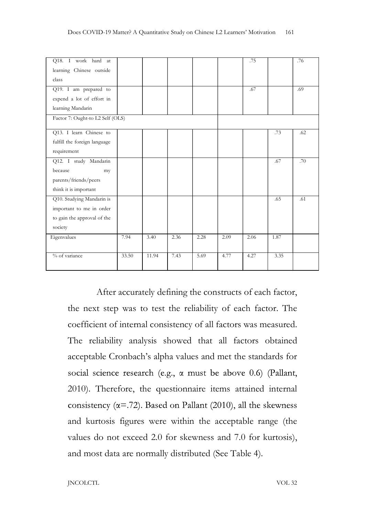| Q18. I work hard at              |       |       |      |      |      | .75  |      | .76 |
|----------------------------------|-------|-------|------|------|------|------|------|-----|
| learning Chinese outside         |       |       |      |      |      |      |      |     |
| class                            |       |       |      |      |      |      |      |     |
| Q19. I am prepared to            |       |       |      |      |      | .67  |      | .69 |
| expend a lot of effort in        |       |       |      |      |      |      |      |     |
| learning Mandarin                |       |       |      |      |      |      |      |     |
| Factor 7: Ought-to L2 Self (OLS) |       |       |      |      |      |      |      |     |
| Q13. I learn Chinese to          |       |       |      |      |      |      | .73  | .62 |
|                                  |       |       |      |      |      |      |      |     |
| fulfill the foreign language     |       |       |      |      |      |      |      |     |
| requirement                      |       |       |      |      |      |      |      |     |
| Q12. I study Mandarin            |       |       |      |      |      |      | .67  | .70 |
| because<br>my                    |       |       |      |      |      |      |      |     |
| parents/friends/peers            |       |       |      |      |      |      |      |     |
| think it is important            |       |       |      |      |      |      |      |     |
| Q10. Studying Mandarin is        |       |       |      |      |      |      | .65  | .61 |
| important to me in order         |       |       |      |      |      |      |      |     |
| to gain the approval of the      |       |       |      |      |      |      |      |     |
| society                          |       |       |      |      |      |      |      |     |
| Eigenvalues                      | 7.94  | 3.40  | 2.36 | 2.28 | 2.09 | 2.06 | 1.87 |     |
|                                  |       |       |      |      |      |      |      |     |
| % of variance                    | 33.50 | 11.94 | 7.43 | 5.69 | 4.77 | 4.27 | 3.35 |     |
|                                  |       |       |      |      |      |      |      |     |

 After accurately defining the constructs of each factor, the next step was to test the reliability of each factor. The coefficient of internal consistency of all factors was measured. The reliability analysis showed that all factors obtained acceptable Cronbach's alpha values and met the standards for social science research (e.g.,  $\alpha$  must be above 0.6) (Pallant, 2010). Therefore, the questionnaire items attained internal consistency ( $\alpha$ =.72). Based on Pallant (2010), all the skewness and kurtosis figures were within the acceptable range (the values do not exceed 2.0 for skewness and 7.0 for kurtosis), and most data are normally distributed (See Table 4).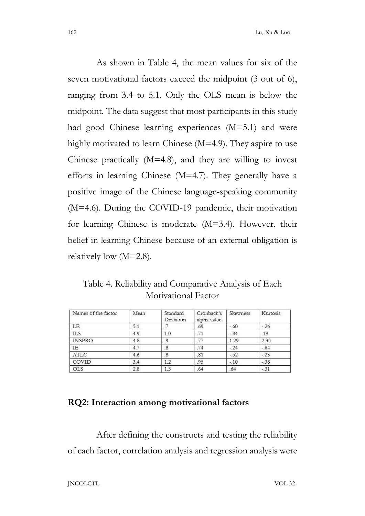As shown in Table 4, the mean values for six of the seven motivational factors exceed the midpoint (3 out of 6), ranging from 3.4 to 5.1. Only the OLS mean is below the midpoint. The data suggest that most participants in this study had good Chinese learning experiences (M=5.1) and were highly motivated to learn Chinese (M=4.9). They aspire to use Chinese practically  $(M=4.8)$ , and they are willing to invest efforts in learning Chinese (M=4.7). They generally have a positive image of the Chinese language-speaking community (M=4.6). During the COVID-19 pandemic, their motivation for learning Chinese is moderate (M=3.4). However, their belief in learning Chinese because of an external obligation is relatively low (M=2.8).

Table 4. Reliability and Comparative Analysis of Each Motivational Factor

| Names of the factor | Mean | Standard<br>Deviation | Cronbach's<br>alpha value | Skewness | Kurtosis |
|---------------------|------|-----------------------|---------------------------|----------|----------|
| LΕ                  | 5.1  |                       | .69                       | $-.60$   | $-26$    |
| <b>ILS</b>          | 4.9  | 1.0                   | .71                       | $-84$    | .18      |
| <b>INSPRO</b>       | 4.8  |                       | 77                        | 1.29     | 2.35     |
| IE                  | 4.7  | .8                    | .74                       | $-24$    | $-64$    |
| ATLC                | 4.6  | $\cdot$ <sup>8</sup>  | .81                       | $-52$    | $-23$    |
| COVID               | 3.4  | 1.2                   | .95                       | $-10$    | $-38$    |
| <b>OLS</b>          | 2.8  | 1.3                   | .64                       | .64      | $-31$    |

#### RQ2: Interaction among motivational factors

 After defining the constructs and testing the reliability of each factor, correlation analysis and regression analysis were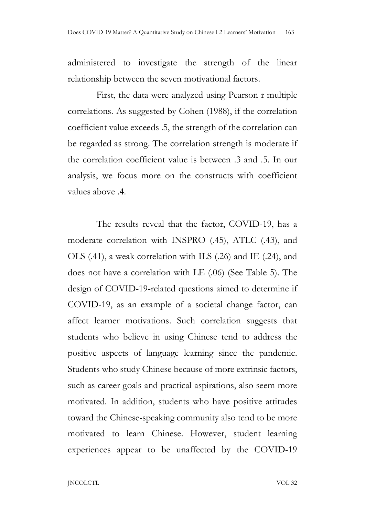administered to investigate the strength of the linear relationship between the seven motivational factors.

 First, the data were analyzed using Pearson r multiple correlations. As suggested by Cohen (1988), if the correlation coefficient value exceeds .5, the strength of the correlation can be regarded as strong. The correlation strength is moderate if the correlation coefficient value is between .3 and .5. In our analysis, we focus more on the constructs with coefficient values above .4.

 The results reveal that the factor, COVID-19, has a moderate correlation with INSPRO (.45), ATLC (.43), and OLS (.41), a weak correlation with ILS (.26) and IE (.24), and does not have a correlation with LE (.06) (See Table 5). The design of COVID-19-related questions aimed to determine if COVID-19, as an example of a societal change factor, can affect learner motivations. Such correlation suggests that students who believe in using Chinese tend to address the positive aspects of language learning since the pandemic. Students who study Chinese because of more extrinsic factors, such as career goals and practical aspirations, also seem more motivated. In addition, students who have positive attitudes toward the Chinese-speaking community also tend to be more motivated to learn Chinese. However, student learning experiences appear to be unaffected by the COVID-19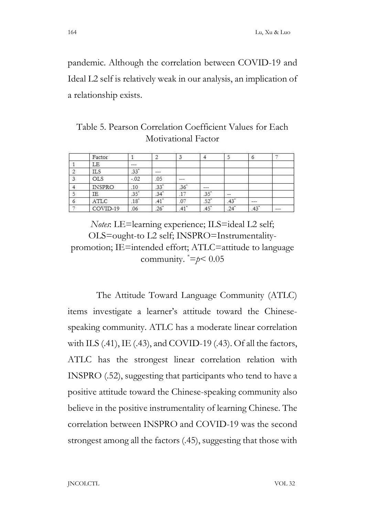pandemic. Although the correlation between COVID-19 and Ideal L2 self is relatively weak in our analysis, an implication of a relationship exists.

| Table 5. Pearson Correlation Coefficient Values for Each |  |
|----------------------------------------------------------|--|
| Motivational Factor                                      |  |

|   | Factor     |                                                                                                                           |                    | э                   |                    |               | 0   |     |
|---|------------|---------------------------------------------------------------------------------------------------------------------------|--------------------|---------------------|--------------------|---------------|-----|-----|
|   | LE         | $\frac{1}{2} \left( \frac{1}{2} \right) \left( \frac{1}{2} \right) \left( \frac{1}{2} \right) \left( \frac{1}{2} \right)$ |                    |                     |                    |               |     |     |
|   | <b>ILS</b> | $.33*$                                                                                                                    | ---                |                     |                    |               |     |     |
| 3 | <b>OLS</b> | $-02$                                                                                                                     | .05                | ---<br><b>WEBST</b> |                    |               |     |     |
|   | INSPRO     | .10                                                                                                                       | $33^*$             | $.36$ <sup>*</sup>  | ---                |               |     |     |
| 5 | IE         | .35'                                                                                                                      | $.34$ <sup>*</sup> | .17                 | $.35^{\circ}$      | $\rightarrow$ |     |     |
| o | ATLC       | $.18$ <sup>*</sup>                                                                                                        | .41                | .07                 | $.52^{\circ}$      | $.43^{+}$     |     |     |
|   | COVID-19   | .06                                                                                                                       | .26                | $.41$ <sup>*</sup>  | $.45$ <sup>*</sup> | .24           | .43 | --- |

Notes: LE=learning experience; ILS=ideal L2 self; OLS=ought-to L2 self; INSPRO=Instrumentalitypromotion; IE=intended effort; ATLC=attitude to language community.  $\approx = p < 0.05$ 

 The Attitude Toward Language Community (ATLC) items investigate a learner's attitude toward the Chinesespeaking community. ATLC has a moderate linear correlation with ILS  $(.41)$ , IE  $(.43)$ , and COVID-19  $(.43)$ . Of all the factors, ATLC has the strongest linear correlation relation with INSPRO (.52), suggesting that participants who tend to have a positive attitude toward the Chinese-speaking community also believe in the positive instrumentality of learning Chinese. The correlation between INSPRO and COVID-19 was the second strongest among all the factors (.45), suggesting that those with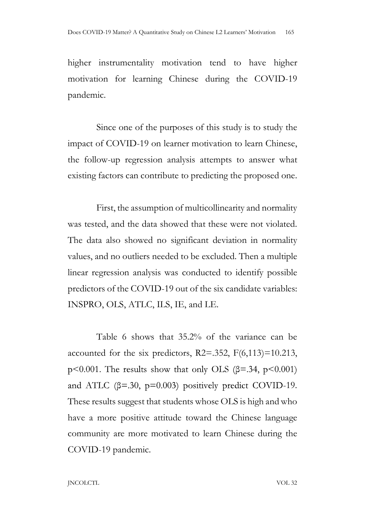higher instrumentality motivation tend to have higher motivation for learning Chinese during the COVID-19 pandemic.

 Since one of the purposes of this study is to study the impact of COVID-19 on learner motivation to learn Chinese, the follow-up regression analysis attempts to answer what existing factors can contribute to predicting the proposed one.

 First, the assumption of multicollinearity and normality was tested, and the data showed that these were not violated. The data also showed no significant deviation in normality values, and no outliers needed to be excluded. Then a multiple linear regression analysis was conducted to identify possible predictors of the COVID-19 out of the six candidate variables: INSPRO, OLS, ATLC, ILS, IE, and LE.

 Table 6 shows that 35.2% of the variance can be accounted for the six predictors,  $R2 = 0.352$ ,  $F(6,113) = 10.213$ ,  $p<0.001$ . The results show that only OLS ( $\beta$ =.34,  $p<0.001$ ) and ATLC  $(\beta = .30, p = 0.003)$  positively predict COVID-19. These results suggest that students whose OLS is high and who have a more positive attitude toward the Chinese language community are more motivated to learn Chinese during the COVID-19 pandemic.

JNCOLCTL VOL 32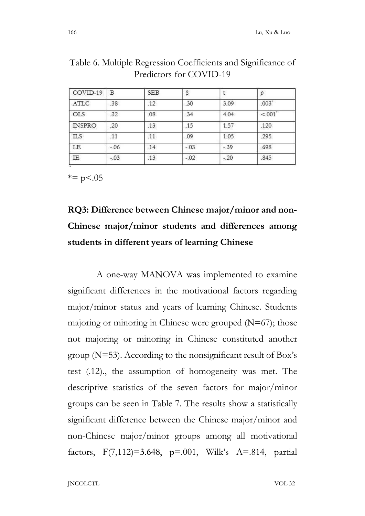| COVID-19      | B       | <b>SEB</b> | β       |       | $\dot{p}$             |
|---------------|---------|------------|---------|-------|-----------------------|
| ATLC          | .38     | .12        | .30     | 3.09  | $.003$ <sup>-</sup>   |
| <b>OLS</b>    | .32     | .08        | .34     | 4.04  | $< 0.01$ <sup>*</sup> |
| <b>INSPRO</b> | .20     | .13        | .15     | 1.57  | .120                  |
| <b>ILS</b>    | .11     | .11        | .09     | 1.05  | .295                  |
| LE            | $-06$   | .14        | $-0.03$ | $-39$ | .698                  |
| IE            | $-0.03$ | .13        | $-0.02$ | $-20$ | .845                  |

Table 6. Multiple Regression Coefficients and Significance of Predictors for COVID-19

 $* = p < .05$ 

# RQ3: Difference between Chinese major/minor and non-Chinese major/minor students and differences among students in different years of learning Chinese

 A one-way MANOVA was implemented to examine significant differences in the motivational factors regarding major/minor status and years of learning Chinese. Students majoring or minoring in Chinese were grouped  $(N=67)$ ; those not majoring or minoring in Chinese constituted another group (N=53). According to the nonsignificant result of Box's test (.12)., the assumption of homogeneity was met. The descriptive statistics of the seven factors for major/minor groups can be seen in Table 7. The results show a statistically significant difference between the Chinese major/minor and non-Chinese major/minor groups among all motivational factors,  $F(7,112)=3.648$ ,  $p=.001$ , Wilk's  $\Lambda=.814$ , partial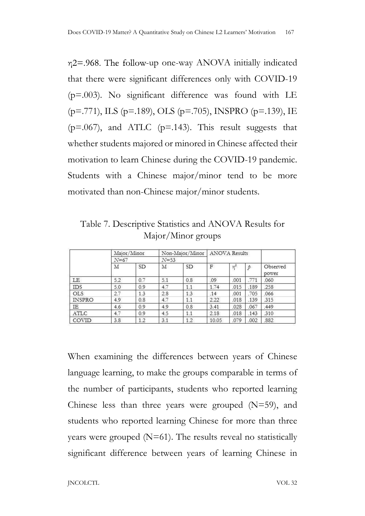$\eta$ 2=.968. The follow-up one-way ANOVA initially indicated that there were significant differences only with COVID-19  $(p=0.003)$ . No significant difference was found with LE (p=.771), ILS (p=.189), OLS (p=.705), INSPRO (p=.139), IE  $(p=0.067)$ , and ATLC  $(p=0.143)$ . This result suggests that whether students majored or minored in Chinese affected their motivation to learn Chinese during the COVID-19 pandemic. Students with a Chinese major/minor tend to be more motivated than non-Chinese major/minor students.

Table 7. Descriptive Statistics and ANOVA Results for Major/Minor groups

|               |        | Major/Minor |     | Non-Major/Minor | <b>ANOVA Results</b> |      |      |                   |
|---------------|--------|-------------|-----|-----------------|----------------------|------|------|-------------------|
|               | $N=67$ |             |     |                 |                      |      |      |                   |
|               | M      | <b>SD</b>   | M   | <b>SD</b>       | F                    | η    | D    | Observed<br>power |
| LE            | 5.2    | 0.7         | 5.1 | 0.8             | .09                  | .001 | .771 | .060              |
| <b>IDS</b>    | 5.0    | 0.9         | 4.7 | 1.1             | 1.74                 | .015 | .189 | .258              |
| OLS.          | 2.7    | 1.3         | 2.8 | 1.3             | .14                  | .001 | .705 | .066              |
| <b>INSPRO</b> | 4.9    | 0.8         | 4.7 | 1.1             | 2.22                 | .018 | .139 | 315               |
| ΙE            | 4.6    | 0.9         | 4.9 | 0.8             | 3.41                 | .028 | .067 | :449              |
| ATLC          | 4.7    | 0.9         | 4.5 | 1.1             | 2.18                 | .018 | .143 | .310              |
| COVID         | 3.8    | 1.2         | 3.1 | 1.2             | 10.05                | .079 | .002 | 882               |

When examining the differences between years of Chinese language learning, to make the groups comparable in terms of the number of participants, students who reported learning Chinese less than three years were grouped (N=59), and students who reported learning Chinese for more than three years were grouped  $(N=61)$ . The results reveal no statistically significant difference between years of learning Chinese in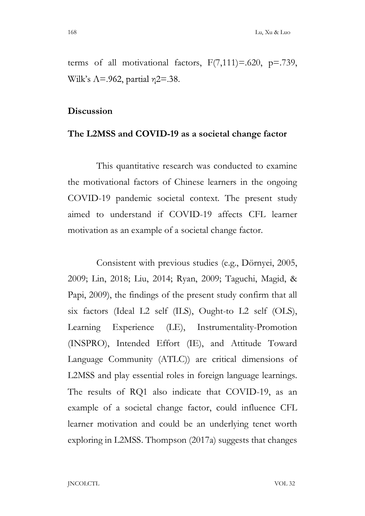terms of all motivational factors,  $F(7,111)=.620$ ,  $p=.739$ , Wilk's  $\Lambda$ =.962, partial  $\eta$ 2=.38.

#### Discussion

#### The L2MSS and COVID-19 as a societal change factor

 This quantitative research was conducted to examine the motivational factors of Chinese learners in the ongoing COVID-19 pandemic societal context. The present study aimed to understand if COVID-19 affects CFL learner motivation as an example of a societal change factor.

Consistent with previous studies (e.g., Dörnyei, 2005, 2009; Lin, 2018; Liu, 2014; Ryan, 2009; Taguchi, Magid, & Papi, 2009), the findings of the present study confirm that all six factors (Ideal L2 self (ILS), Ought-to L2 self (OLS), Learning Experience (LE), Instrumentality-Promotion (INSPRO), Intended Effort (IE), and Attitude Toward Language Community (ATLC)) are critical dimensions of L2MSS and play essential roles in foreign language learnings. The results of RQ1 also indicate that COVID-19, as an example of a societal change factor, could influence CFL learner motivation and could be an underlying tenet worth exploring in L2MSS. Thompson (2017a) suggests that changes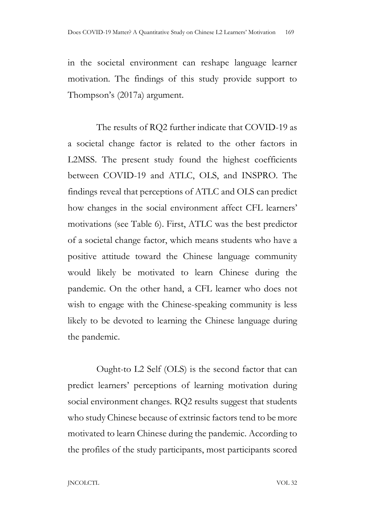in the societal environment can reshape language learner motivation. The findings of this study provide support to Thompson's (2017a) argument.

 The results of RQ2 further indicate that COVID-19 as a societal change factor is related to the other factors in L2MSS. The present study found the highest coefficients between COVID-19 and ATLC, OLS, and INSPRO. The findings reveal that perceptions of ATLC and OLS can predict how changes in the social environment affect CFL learners' motivations (see Table 6). First, ATLC was the best predictor of a societal change factor, which means students who have a positive attitude toward the Chinese language community would likely be motivated to learn Chinese during the pandemic. On the other hand, a CFL learner who does not wish to engage with the Chinese-speaking community is less likely to be devoted to learning the Chinese language during the pandemic.

 Ought-to L2 Self (OLS) is the second factor that can predict learners' perceptions of learning motivation during social environment changes. RQ2 results suggest that students who study Chinese because of extrinsic factors tend to be more motivated to learn Chinese during the pandemic. According to the profiles of the study participants, most participants scored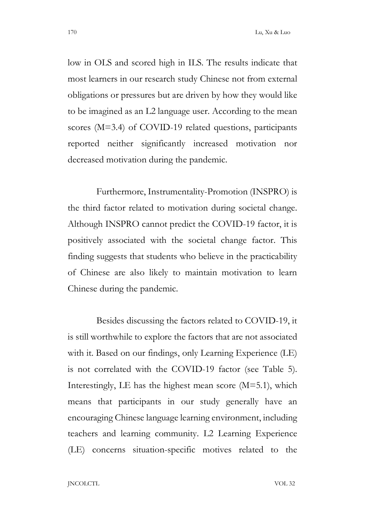low in OLS and scored high in ILS. The results indicate that most learners in our research study Chinese not from external obligations or pressures but are driven by how they would like to be imagined as an L2 language user. According to the mean scores (M=3.4) of COVID-19 related questions, participants reported neither significantly increased motivation nor decreased motivation during the pandemic.

 Furthermore, Instrumentality-Promotion (INSPRO) is the third factor related to motivation during societal change. Although INSPRO cannot predict the COVID-19 factor, it is positively associated with the societal change factor. This finding suggests that students who believe in the practicability of Chinese are also likely to maintain motivation to learn Chinese during the pandemic.

 Besides discussing the factors related to COVID-19, it is still worthwhile to explore the factors that are not associated with it. Based on our findings, only Learning Experience (LE) is not correlated with the COVID-19 factor (see Table 5). Interestingly, LE has the highest mean score (M=5.1), which means that participants in our study generally have an encouraging Chinese language learning environment, including teachers and learning community. L2 Learning Experience (LE) concerns situation-specific motives related to the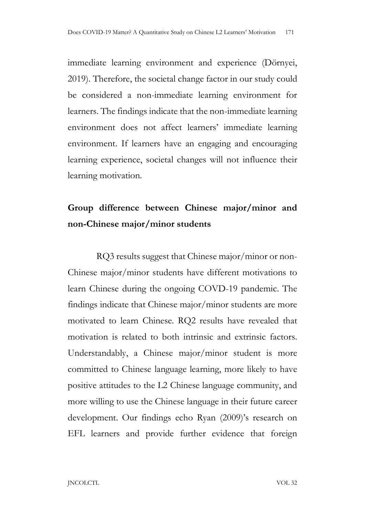immediate learning environment and experience (Dörnyei, 2019). Therefore, the societal change factor in our study could be considered a non-immediate learning environment for learners. The findings indicate that the non-immediate learning environment does not affect learners' immediate learning environment. If learners have an engaging and encouraging learning experience, societal changes will not influence their learning motivation.

# Group difference between Chinese major/minor and non-Chinese major/minor students

 RQ3 results suggest that Chinese major/minor or non-Chinese major/minor students have different motivations to learn Chinese during the ongoing COVD-19 pandemic. The findings indicate that Chinese major/minor students are more motivated to learn Chinese. RQ2 results have revealed that motivation is related to both intrinsic and extrinsic factors. Understandably, a Chinese major/minor student is more committed to Chinese language learning, more likely to have positive attitudes to the L2 Chinese language community, and more willing to use the Chinese language in their future career development. Our findings echo Ryan (2009)'s research on EFL learners and provide further evidence that foreign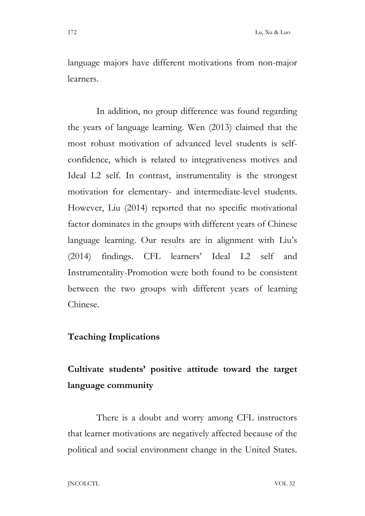language majors have different motivations from non-major learners.

 In addition, no group difference was found regarding the years of language learning. Wen (2013) claimed that the most robust motivation of advanced level students is selfconfidence, which is related to integrativeness motives and Ideal L2 self. In contrast, instrumentality is the strongest motivation for elementary- and intermediate-level students. However, Liu (2014) reported that no specific motivational factor dominates in the groups with different years of Chinese language learning. Our results are in alignment with Liu's (2014) findings. CFL learners' Ideal L2 self and Instrumentality-Promotion were both found to be consistent between the two groups with different years of learning Chinese.

#### Teaching Implications

# Cultivate students' positive attitude toward the target language community

 There is a doubt and worry among CFL instructors that learner motivations are negatively affected because of the political and social environment change in the United States.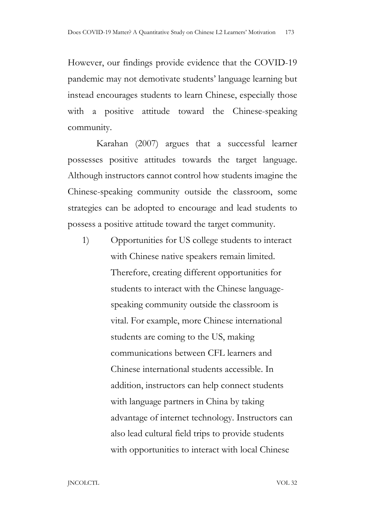However, our findings provide evidence that the COVID-19 pandemic may not demotivate students' language learning but instead encourages students to learn Chinese, especially those with a positive attitude toward the Chinese-speaking community.

Karahan (2007) argues that a successful learner possesses positive attitudes towards the target language. Although instructors cannot control how students imagine the Chinese-speaking community outside the classroom, some strategies can be adopted to encourage and lead students to possess a positive attitude toward the target community.

1) Opportunities for US college students to interact with Chinese native speakers remain limited. Therefore, creating different opportunities for students to interact with the Chinese languagespeaking community outside the classroom is vital. For example, more Chinese international students are coming to the US, making communications between CFL learners and Chinese international students accessible. In addition, instructors can help connect students with language partners in China by taking advantage of internet technology. Instructors can also lead cultural field trips to provide students with opportunities to interact with local Chinese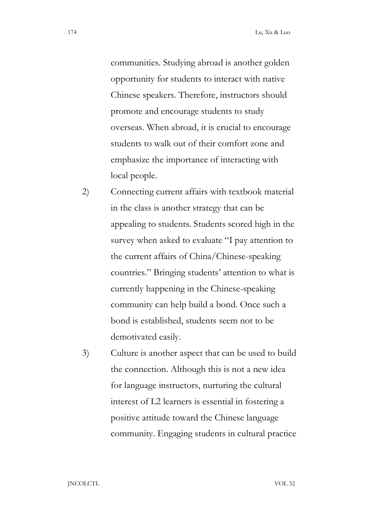communities. Studying abroad is another golden opportunity for students to interact with native Chinese speakers. Therefore, instructors should promote and encourage students to study overseas. When abroad, it is crucial to encourage students to walk out of their comfort zone and emphasize the importance of interacting with local people.

- 2) Connecting current affairs with textbook material in the class is another strategy that can be appealing to students. Students scored high in the survey when asked to evaluate "I pay attention to the current affairs of China/Chinese-speaking countries." Bringing students' attention to what is currently happening in the Chinese-speaking community can help build a bond. Once such a bond is established, students seem not to be demotivated easily.
- 3) Culture is another aspect that can be used to build the connection. Although this is not a new idea for language instructors, nurturing the cultural interest of L2 learners is essential in fostering a positive attitude toward the Chinese language community. Engaging students in cultural practice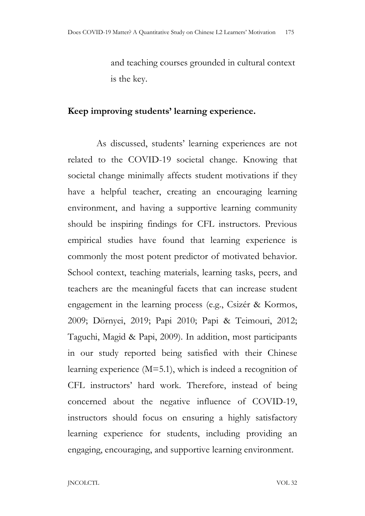and teaching courses grounded in cultural context is the key.

#### Keep improving students' learning experience.

As discussed, students' learning experiences are not related to the COVID-19 societal change. Knowing that societal change minimally affects student motivations if they have a helpful teacher, creating an encouraging learning environment, and having a supportive learning community should be inspiring findings for CFL instructors. Previous empirical studies have found that learning experience is commonly the most potent predictor of motivated behavior. School context, teaching materials, learning tasks, peers, and teachers are the meaningful facets that can increase student engagement in the learning process (e.g., Csizér & Kormos, 2009; Dörnyei, 2019; Papi 2010; Papi & Teimouri, 2012; Taguchi, Magid & Papi, 2009). In addition, most participants in our study reported being satisfied with their Chinese learning experience (M=5.1), which is indeed a recognition of CFL instructors' hard work. Therefore, instead of being concerned about the negative influence of COVID-19, instructors should focus on ensuring a highly satisfactory learning experience for students, including providing an engaging, encouraging, and supportive learning environment.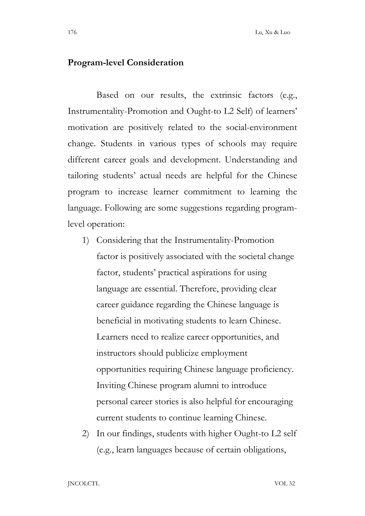#### Program-level Consideration

 Based on our results, the extrinsic factors (e.g., Instrumentality-Promotion and Ought-to L2 Self) of learners' motivation are positively related to the social-environment change. Students in various types of schools may require different career goals and development. Understanding and tailoring students' actual needs are helpful for the Chinese program to increase learner commitment to learning the language. Following are some suggestions regarding programlevel operation:

- 1) Considering that the Instrumentality-Promotion factor is positively associated with the societal change factor, students' practical aspirations for using language are essential. Therefore, providing clear career guidance regarding the Chinese language is beneficial in motivating students to learn Chinese. Learners need to realize career opportunities, and instructors should publicize employment opportunities requiring Chinese language proficiency. Inviting Chinese program alumni to introduce personal career stories is also helpful for encouraging current students to continue learning Chinese.
- 2) In our findings, students with higher Ought-to L2 self (e.g., learn languages because of certain obligations,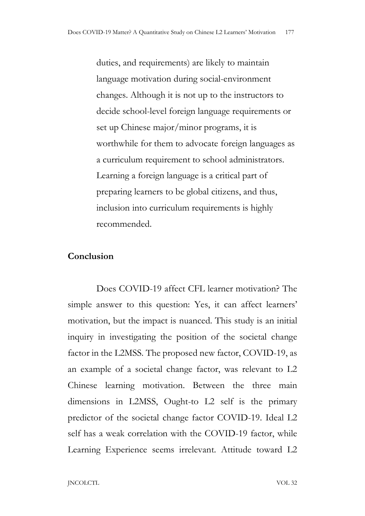duties, and requirements) are likely to maintain language motivation during social-environment changes. Although it is not up to the instructors to decide school-level foreign language requirements or set up Chinese major/minor programs, it is worthwhile for them to advocate foreign languages as a curriculum requirement to school administrators. Learning a foreign language is a critical part of preparing learners to be global citizens, and thus, inclusion into curriculum requirements is highly recommended.

### Conclusion

 Does COVID-19 affect CFL learner motivation? The simple answer to this question: Yes, it can affect learners' motivation, but the impact is nuanced. This study is an initial inquiry in investigating the position of the societal change factor in the L2MSS. The proposed new factor, COVID-19, as an example of a societal change factor, was relevant to L2 Chinese learning motivation. Between the three main dimensions in L2MSS, Ought-to L2 self is the primary predictor of the societal change factor COVID-19. Ideal L2 self has a weak correlation with the COVID-19 factor, while Learning Experience seems irrelevant. Attitude toward L2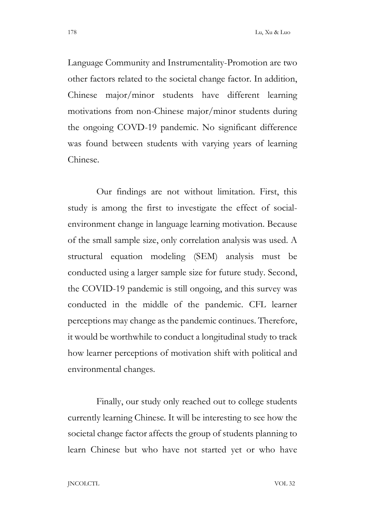Language Community and Instrumentality-Promotion are two other factors related to the societal change factor. In addition, Chinese major/minor students have different learning motivations from non-Chinese major/minor students during the ongoing COVD-19 pandemic. No significant difference was found between students with varying years of learning Chinese.

 Our findings are not without limitation. First, this study is among the first to investigate the effect of socialenvironment change in language learning motivation. Because of the small sample size, only correlation analysis was used. A structural equation modeling (SEM) analysis must be conducted using a larger sample size for future study. Second, the COVID-19 pandemic is still ongoing, and this survey was conducted in the middle of the pandemic. CFL learner perceptions may change as the pandemic continues. Therefore, it would be worthwhile to conduct a longitudinal study to track how learner perceptions of motivation shift with political and environmental changes.

 Finally, our study only reached out to college students currently learning Chinese. It will be interesting to see how the societal change factor affects the group of students planning to learn Chinese but who have not started yet or who have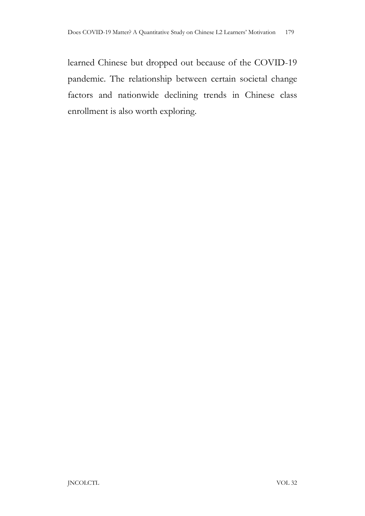learned Chinese but dropped out because of the COVID-19 pandemic. The relationship between certain societal change factors and nationwide declining trends in Chinese class enrollment is also worth exploring.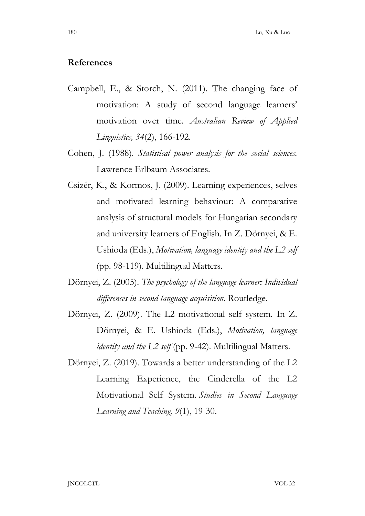#### References

- Campbell, E., & Storch, N. (2011). The changing face of motivation: A study of second language learners' motivation over time. Australian Review of Applied Linguistics, 34(2), 166-192.
- Cohen, J. (1988). Statistical power analysis for the social sciences. Lawrence Erlbaum Associates.
- Csizér, K., & Kormos, J. (2009). Learning experiences, selves and motivated learning behaviour: A comparative analysis of structural models for Hungarian secondary and university learners of English. In Z. Dörnyei, & E. Ushioda (Eds.), Motivation, language identity and the L2 self (pp. 98-119). Multilingual Matters.
- Dörnyei, Z. (2005). The psychology of the language learner: Individual differences in second language acquisition. Routledge.
- Dörnyei, Z. (2009). The L2 motivational self system. In Z. Dörnyei, & E. Ushioda (Eds.), Motivation, language identity and the L2 self (pp. 9-42). Multilingual Matters.
- Dörnyei, Z. (2019). Towards a better understanding of the L2 Learning Experience, the Cinderella of the L2 Motivational Self System. Studies in Second Language Learning and Teaching, 9(1), 19-30.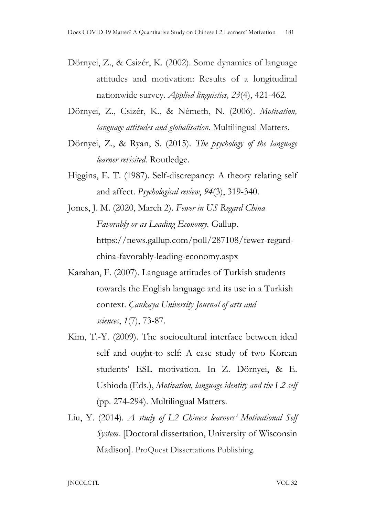- Dörnyei, Z., & Csizér, K. (2002). Some dynamics of language attitudes and motivation: Results of a longitudinal nationwide survey. Applied linguistics, 23(4), 421-462.
- Dörnyei, Z., Csizér, K., & Németh, N. (2006). Motivation, language attitudes and globalisation. Multilingual Matters.
- Dörnyei, Z., & Ryan, S. (2015). The psychology of the language learner revisited. Routledge.
- Higgins, E. T. (1987). Self-discrepancy: A theory relating self and affect. Psychological review, 94(3), 319-340.
- Jones, J. M. (2020, March 2). Fewer in US Regard China Favorably or as Leading Economy. Gallup. https://news.gallup.com/poll/287108/fewer-regardchina-favorably-leading-economy.aspx
- Karahan, F. (2007). Language attitudes of Turkish students towards the English language and its use in a Turkish context. Çankaya University Journal of arts and sciences, 1(7), 73-87.
- Kim, T.-Y. (2009). The sociocultural interface between ideal self and ought-to self: A case study of two Korean students' ESL motivation. In Z. Dörnyei, & E. Ushioda (Eds.), Motivation, language identity and the L2 self (pp. 274-294). Multilingual Matters.
- Liu, Y. (2014). A study of L2 Chinese learners' Motivational Self System. [Doctoral dissertation, University of Wisconsin Madison]. ProQuest Dissertations Publishing.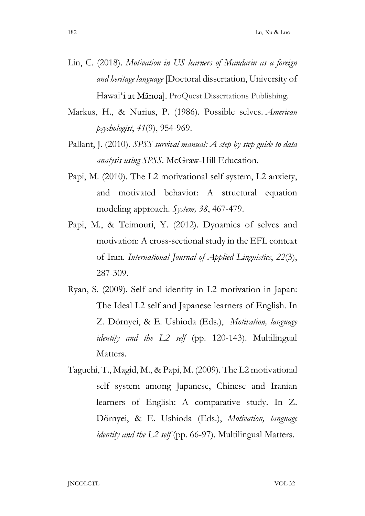- Lin, C. (2018). Motivation in US learners of Mandarin as a foreign and heritage language [Doctoral dissertation, University of Hawai'i at Mānoa]. ProQuest Dissertations Publishing.
- Markus, H., & Nurius, P. (1986). Possible selves. American psychologist, 41(9), 954-969.
- Pallant, J. (2010). SPSS survival manual: A step by step guide to data analysis using SPSS. McGraw-Hill Education.
- Papi, M. (2010). The L2 motivational self system, L2 anxiety, and motivated behavior: A structural equation modeling approach. System, 38, 467-479.
- Papi, M., & Teimouri, Y. (2012). Dynamics of selves and motivation: A cross-sectional study in the EFL context of Iran. International Journal of Applied Linguistics, 22(3), 287-309.
- Ryan, S. (2009). Self and identity in L2 motivation in Japan: The Ideal L2 self and Japanese learners of English. In Z. Dörnyei, & E. Ushioda (Eds.), Motivation, language identity and the L2 self (pp. 120-143). Multilingual Matters.
- Taguchi, T., Magid, M., & Papi, M. (2009). The L2 motivational self system among Japanese, Chinese and Iranian learners of English: A comparative study. In Z. Dörnyei, & E. Ushioda (Eds.), Motivation, language identity and the L2 self (pp. 66-97). Multilingual Matters.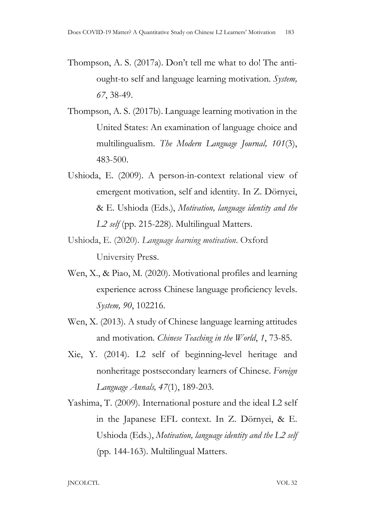- Thompson, A. S. (2017a). Don't tell me what to do! The anti ought-to self and language learning motivation. System, 67, 38-49.
- Thompson, A. S. (2017b). Language learning motivation in the United States: An examination of language choice and multilingualism. The Modern Language Journal, 101(3), 483-500.
- Ushioda, E. (2009). A person-in-context relational view of emergent motivation, self and identity. In Z. Dörnyei, & E. Ushioda (Eds.), Motivation, language identity and the L<sub>2</sub> self (pp. 215-228). Multilingual Matters.
- Ushioda, E. (2020). Language learning motivation. Oxford University Press.
- Wen, X., & Piao, M. (2020). Motivational profiles and learning experience across Chinese language proficiency levels. System, 90, 102216.
- Wen, X. (2013). A study of Chinese language learning attitudes and motivation. Chinese Teaching in the World, 1, 73-85.
- Xie, Y. (2014). L2 self of beginning level heritage and nonheritage postsecondary learners of Chinese. Foreign Language Annals, 47(1), 189-203.
- Yashima, T. (2009). International posture and the ideal L2 self in the Japanese EFL context. In Z. Dörnyei, & E. Ushioda (Eds.), Motivation, language identity and the L2 self (pp. 144-163). Multilingual Matters.

JNCOLCTL VOL 32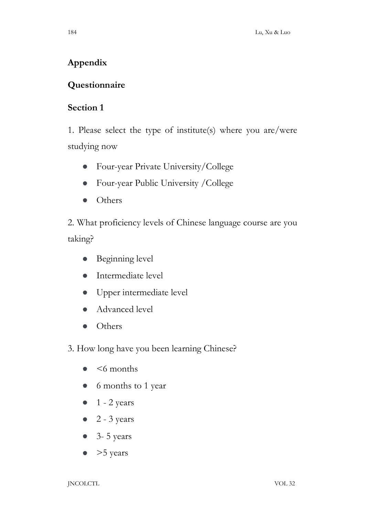# Appendix

# Questionnaire

## Section 1

1. Please select the type of institute(s) where you are/were studying now

- Four-year Private University/College  $\bullet$
- Four-year Public University /College  $\bullet$
- Others

2. What proficiency levels of Chinese language course are you taking?

- Beginning level  $\bullet$
- Intermediate level  $\bullet$
- Upper intermediate level  $\bullet$
- Advanced level
- **Others**  $\bullet$
- 3. How long have you been learning Chinese?
	- $\bullet$   $\leq$  months
	- 6 months to 1 year
	- $\bullet$  1 2 years
	- $\bullet$  2 3 years
	- 3- 5 years  $\bullet$
	- >5 years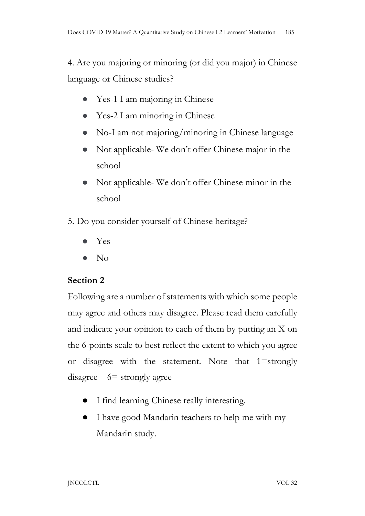4. Are you majoring or minoring (or did you major) in Chinese language or Chinese studies?

- $\bullet$ Yes-1 I am majoring in Chinese
- Yes-2 I am minoring in Chinese  $\bullet$
- No-I am not majoring/minoring in Chinese language
- Not applicable- We don't offer Chinese major in the  $\bullet$ school
- Not applicable- We don't offer Chinese minor in the  $\bullet$ school
- 5. Do you consider yourself of Chinese heritage?
	- Yes
	- No

### Section 2

Following are a number of statements with which some people may agree and others may disagree. Please read them carefully and indicate your opinion to each of them by putting an X on the 6-points scale to best reflect the extent to which you agree or disagree with the statement. Note that 1=strongly disagree 6= strongly agree

- I find learning Chinese really interesting.
- I have good Mandarin teachers to help me with my Mandarin study.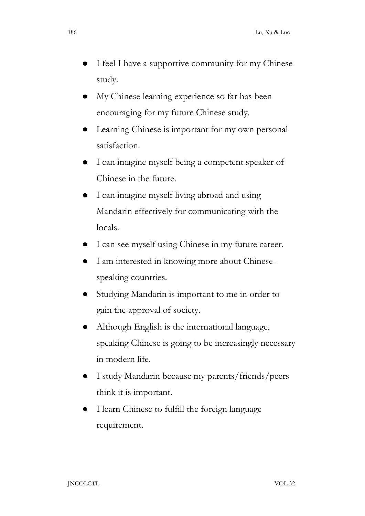- I feel I have a supportive community for my Chinese  $\bullet$ study.
- My Chinese learning experience so far has been encouraging for my future Chinese study.
- Learning Chinese is important for my own personal satisfaction.
- I can imagine myself being a competent speaker of Chinese in the future.
- I can imagine myself living abroad and using Mandarin effectively for communicating with the locals.
- I can see myself using Chinese in my future career.
- I am interested in knowing more about Chinesespeaking countries.
- Studying Mandarin is important to me in order to gain the approval of society.
- Although English is the international language,  $\bullet$ speaking Chinese is going to be increasingly necessary in modern life.
- I study Mandarin because my parents/friends/peers think it is important.
- I learn Chinese to fulfill the foreign language  $\bullet$ requirement.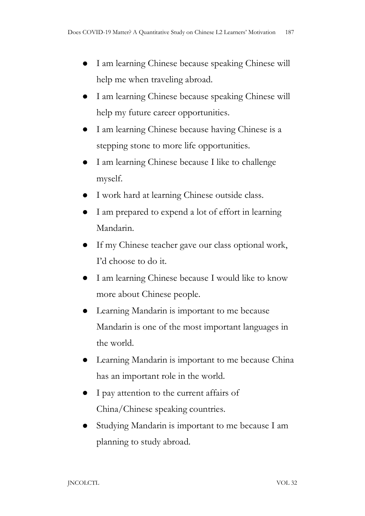- I am learning Chinese because speaking Chinese will help me when traveling abroad.
- I am learning Chinese because speaking Chinese will help my future career opportunities.
- I am learning Chinese because having Chinese is a stepping stone to more life opportunities.
- I am learning Chinese because I like to challenge  $\bullet$ myself.
- I work hard at learning Chinese outside class.
- I am prepared to expend a lot of effort in learning Mandarin.
- If my Chinese teacher gave our class optional work, I'd choose to do it.
- I am learning Chinese because I would like to know  $\bullet$ more about Chinese people.
- Learning Mandarin is important to me because Mandarin is one of the most important languages in the world.
- Learning Mandarin is important to me because China  $\bullet$ has an important role in the world.
- I pay attention to the current affairs of China/Chinese speaking countries.
- Studying Mandarin is important to me because I am planning to study abroad.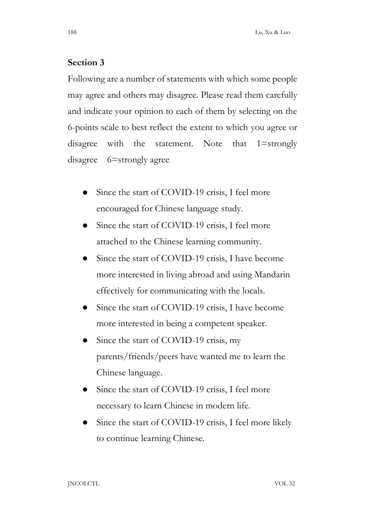### Section 3

Following are a number of statements with which some people may agree and others may disagree. Please read them carefully and indicate your opinion to each of them by selecting on the 6-points scale to best reflect the extent to which you agree or disagree with the statement. Note that 1=strongly disagree 6=strongly agree

- Since the start of COVID-19 crisis, I feel more encouraged for Chinese language study.
- Since the start of COVID-19 crisis, I feel more  $\bullet$ attached to the Chinese learning community.
- Since the start of COVID-19 crisis, I have become  $\bullet$ more interested in living abroad and using Mandarin effectively for communicating with the locals.
- Since the start of COVID-19 crisis, I have become more interested in being a competent speaker.
- Since the start of COVID-19 crisis, my parents/friends/peers have wanted me to learn the Chinese language.
- Since the start of COVID-19 crisis, I feel more  $\bullet$ necessary to learn Chinese in modern life.
- Since the start of COVID-19 crisis, I feel more likely to continue learning Chinese.